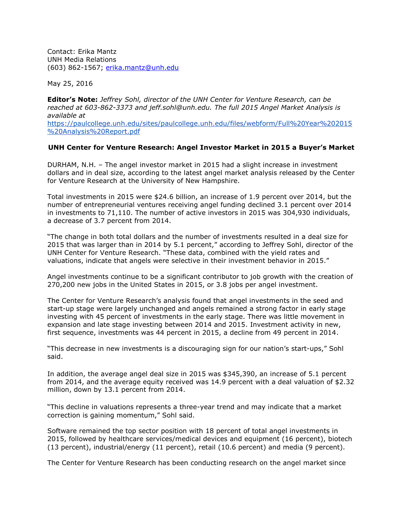Contact: Erika Mantz UNH Media Relations (603) 862-1567; [erika.mantz@unh.edu](mailto:erika.mantz@unh.edu)

May 25, 2016

**Editor's Note:** *Jeffrey Sohl, director of the UNH Center for Venture Research, can be reached at 603-862-3373 and jeff.sohl@unh.edu. The full 2015 Angel Market Analysis is available at*  https://paulcollege.unh.edu/sites/paulcollege.unh.edu/files/webform/Full%20Year%202015 %20Analysis%20Report.pdf

## **UNH Center for Venture Research: Angel Investor Market in 2015 a Buyer's Market**

DURHAM, N.H. – The angel investor market in 2015 had a slight increase in investment dollars and in deal size, according to the latest angel market analysis released by the Center for Venture Research at the University of New Hampshire.

Total investments in 2015 were \$24.6 billion, an increase of 1.9 percent over 2014, but the number of entrepreneurial ventures receiving angel funding declined 3.1 percent over 2014 in investments to 71,110. The number of active investors in 2015 was 304,930 individuals, a decrease of 3.7 percent from 2014.

"The change in both total dollars and the number of investments resulted in a deal size for 2015 that was larger than in 2014 by 5.1 percent," according to Jeffrey Sohl, director of the UNH Center for Venture Research. "These data, combined with the yield rates and valuations, indicate that angels were selective in their investment behavior in 2015."

Angel investments continue to be a significant contributor to job growth with the creation of 270,200 new jobs in the United States in 2015, or 3.8 jobs per angel investment.

The Center for Venture Research's analysis found that angel investments in the seed and start-up stage were largely unchanged and angels remained a strong factor in early stage investing with 45 percent of investments in the early stage. There was little movement in expansion and late stage investing between 2014 and 2015. Investment activity in new, first sequence, investments was 44 percent in 2015, a decline from 49 percent in 2014.

"This decrease in new investments is a discouraging sign for our nation's start-ups," Sohl said.

In addition, the average angel deal size in 2015 was \$345,390, an increase of 5.1 percent from 2014, and the average equity received was 14.9 percent with a deal valuation of \$2.32 million, down by 13.1 percent from 2014.

"This decline in valuations represents a three-year trend and may indicate that a market correction is gaining momentum," Sohl said.

Software remained the top sector position with 18 percent of total angel investments in 2015, followed by healthcare services/medical devices and equipment (16 percent), biotech (13 percent), industrial/energy (11 percent), retail (10.6 percent) and media (9 percent).

The Center for Venture Research has been conducting research on the angel market since